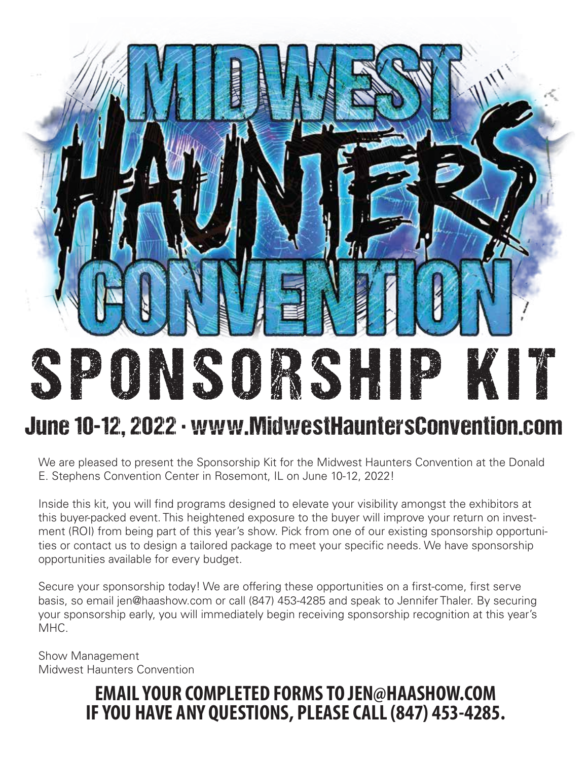# SPONSORSHIP KIT June 10-12, 2022 · www.MidwestHauntersConvention.com

We are pleased to present the Sponsorship Kit for the Midwest Haunters Convention at the Donald E. Stephens Convention Center in Rosemont, IL on June 10-12, 2022!

Inside this kit, you will find programs designed to elevate your visibility amongst the exhibitors at this buyer-packed event. This heightened exposure to the buyer will improve your return on investment (ROI) from being part of this year's show. Pick from one of our existing sponsorship opportunities or contact us to design a tailored package to meet your specific needs. We have sponsorship opportunities available for every budget.

Secure your sponsorship today! We are offering these opportunities on a first-come, first serve basis, so email jen@haashow.com or call (847) 453-4285 and speak to Jennifer Thaler. By securing your sponsorship early, you will immediately begin receiving sponsorship recognition at this year's MHC.

Show Management Midwest Haunters Convention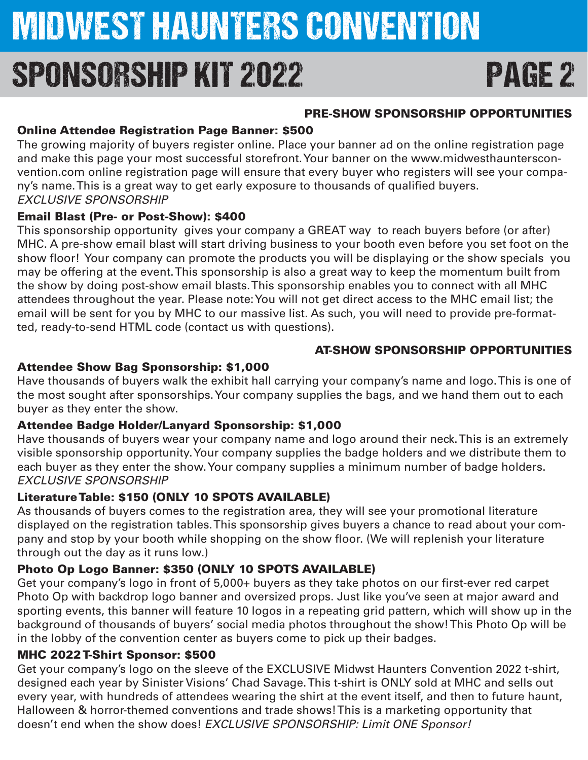## MIDWEST HAUNTERS CONVENTION SPONSORSHIP KIT 2022 PAGE 2

#### PRE-SHOW SPONSORSHIP OPPORTUNITIES

#### Online Attendee Registration Page Banner: \$500

The growing majority of buyers register online. Place your banner ad on the online registration page and make this page your most successful storefront. Your banner on the www.midwesthauntersconvention.com online registration page will ensure that every buyer who registers will see your company's name. This is a great way to get early exposure to thousands of qualified buyers. *EXCLUSIVE SPONSORSHIP*

#### Email Blast (Pre- or Post-Show): \$400

This sponsorship opportunity gives your company a GREAT way to reach buyers before (or after) MHC. A pre-show email blast will start driving business to your booth even before you set foot on the show floor! Your company can promote the products you will be displaying or the show specials you may be offering at the event. This sponsorship is also a great way to keep the momentum built from the show by doing post-show email blasts. This sponsorship enables you to connect with all MHC attendees throughout the year. Please note: You will not get direct access to the MHC email list; the email will be sent for you by MHC to our massive list. As such, you will need to provide pre-formatted, ready-to-send HTML code (contact us with questions).

#### AT-SHOW SPONSORSHIP OPPORTUNITIES

#### Attendee Show Bag Sponsorship: \$1,000

Have thousands of buyers walk the exhibit hall carrying your company's name and logo. This is one of the most sought after sponsorships. Your company supplies the bags, and we hand them out to each buyer as they enter the show.

#### Attendee Badge Holder/Lanyard Sponsorship: \$1,000

Have thousands of buyers wear your company name and logo around their neck. This is an extremely visible sponsorship opportunity. Your company supplies the badge holders and we distribute them to each buyer as they enter the show. Your company supplies a minimum number of badge holders. *EXCLUSIVE SPONSORSHIP*

#### Literature Table: \$150 (ONLY 10 SPOTS AVAILABLE)

As thousands of buyers comes to the registration area, they will see your promotional literature displayed on the registration tables. This sponsorship gives buyers a chance to read about your company and stop by your booth while shopping on the show floor. (We will replenish your literature through out the day as it runs low.)

#### Photo Op Logo Banner: \$350 (ONLY 10 SPOTS AVAILABLE)

Get your company's logo in front of 5,000+ buyers as they take photos on our first-ever red carpet Photo Op with backdrop logo banner and oversized props. Just like you've seen at major award and sporting events, this banner will feature 10 logos in a repeating grid pattern, which will show up in the background of thousands of buyers' social media photos throughout the show! This Photo Op will be in the lobby of the convention center as buyers come to pick up their badges.

#### MHC 2022 T-Shirt Sponsor: \$500

Get your company's logo on the sleeve of the EXCLUSIVE Midwst Haunters Convention 2022 t-shirt, designed each year by Sinister Visions' Chad Savage. This t-shirt is ONLY sold at MHC and sells out every year, with hundreds of attendees wearing the shirt at the event itself, and then to future haunt, Halloween & horror-themed conventions and trade shows! This is a marketing opportunity that doesn't end when the show does! *EXCLUSIVE SPONSORSHIP: Limit ONE Sponsor!*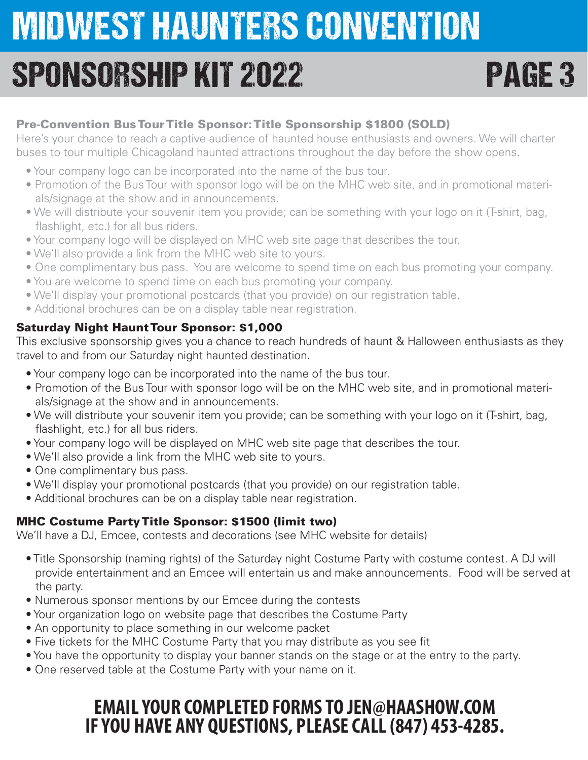## SPONSORSHIP KIT 2022 PAGE 3

#### Pre-Convention Bus Tour Title Sponsor: Title Sponsorship \$1800 (SOLD)

Here's your chance to reach a captive audience of haunted house enthusiasts and owners. We will charter buses to tour multiple Chicagoland haunted attractions throughout the day before the show opens.

- Your company logo can be incorporated into the name of the bus tour.
- Promotion of the Bus Tour with sponsor logo will be on the MHC web site, and in promotional materials/signage at the show and in announcements.
- We will distribute your souvenir item you provide; can be something with your logo on it (T-shirt, bag, flashlight, etc.) for all bus riders.
- Your company logo will be displayed on MHC web site page that describes the tour.
- We'll also provide a link from the MHC web site to yours.
- One complimentary bus pass. You are welcome to spend time on each bus promoting your company.
- You are welcome to spend time on each bus promoting your company.
- We'll display your promotional postcards (that you provide) on our registration table.
- Additional brochures can be on a display table near registration.

#### Saturday Night Haunt Tour Sponsor: \$1,000

This exclusive sponsorship gives you a chance to reach hundreds of haunt & Halloween enthusiasts as they travel to and from our Saturday night haunted destination.

- Your company logo can be incorporated into the name of the bus tour.
- Promotion of the Bus Tour with sponsor logo will be on the MHC web site, and in promotional materials/signage at the show and in announcements.
- We will distribute your souvenir item you provide; can be something with your logo on it (T-shirt, bag, flashlight, etc.) for all bus riders.
- Your company logo will be displayed on MHC web site page that describes the tour.
- We'll also provide a link from the MHC web site to yours.
- One complimentary bus pass.
- We'll display your promotional postcards (that you provide) on our registration table.
- Additional brochures can be on a display table near registration.

#### MHC Costume Party Title Sponsor: \$1500 (limit two)

We'll have a DJ, Emcee, contests and decorations (see MHC website for details)

- Title Sponsorship (naming rights) of the Saturday night Costume Party with costume contest. A DJ will provide entertainment and an Emcee will entertain us and make announcements. Food will be served at the party.
- Numerous sponsor mentions by our Emcee during the contests
- Your organization logo on website page that describes the Costume Party
- An opportunity to place something in our welcome packet
- Five tickets for the MHC Costume Party that you may distribute as you see fit
- You have the opportunity to display your banner stands on the stage or at the entry to the party.
- One reserved table at the Costume Party with your name on it.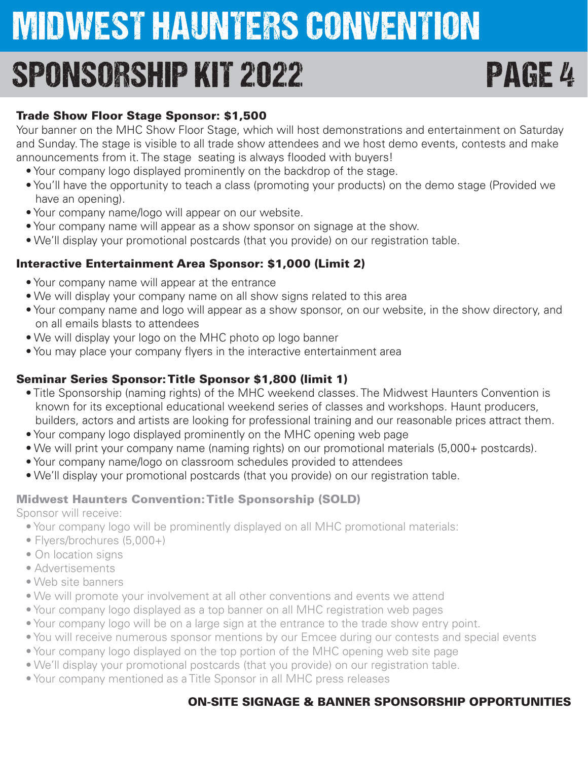## SPONSORSHIP KIT 2022 PAGE 4

#### Trade Show Floor Stage Sponsor: \$1,500

Your banner on the MHC Show Floor Stage, which will host demonstrations and entertainment on Saturday and Sunday. The stage is visible to all trade show attendees and we host demo events, contests and make announcements from it. The stage seating is always flooded with buyers!

- Your company logo displayed prominently on the backdrop of the stage.
- You'll have the opportunity to teach a class (promoting your products) on the demo stage (Provided we have an opening).
- Your company name/logo will appear on our website.
- Your company name will appear as a show sponsor on signage at the show.
- We'll display your promotional postcards (that you provide) on our registration table.

#### Interactive Entertainment Area Sponsor: \$1,000 (Limit 2)

- Your company name will appear at the entrance
- We will display your company name on all show signs related to this area
- Your company name and logo will appear as a show sponsor, on our website, in the show directory, and on all emails blasts to attendees
- We will display your logo on the MHC photo op logo banner
- You may place your company flyers in the interactive entertainment area

#### Seminar Series Sponsor: Title Sponsor \$1,800 (limit 1)

- Title Sponsorship (naming rights) of the MHC weekend classes. The Midwest Haunters Convention is known for its exceptional educational weekend series of classes and workshops. Haunt producers, builders, actors and artists are looking for professional training and our reasonable prices attract them.
- Your company logo displayed prominently on the MHC opening web page
- We will print your company name (naming rights) on our promotional materials (5,000+ postcards).
- Your company name/logo on classroom schedules provided to attendees
- We'll display your promotional postcards (that you provide) on our registration table.

#### Midwest Haunters Convention: Title Sponsorship (SOLD)

Sponsor will receive:

- Your company logo will be prominently displayed on all MHC promotional materials:
- Flyers/brochures (5,000+)
- On location signs
- Advertisements
- Web site banners
- We will promote your involvement at all other conventions and events we attend
- Your company logo displayed as a top banner on all MHC registration web pages
- Your company logo will be on a large sign at the entrance to the trade show entry point.
- You will receive numerous sponsor mentions by our Emcee during our contests and special events
- Your company logo displayed on the top portion of the MHC opening web site page
- We'll display your promotional postcards (that you provide) on our registration table.
- Your company mentioned as a Title Sponsor in all MHC press releases

#### ON-SITE SIGNAGE & BANNER SPONSORSHIP OPPORTUNITIES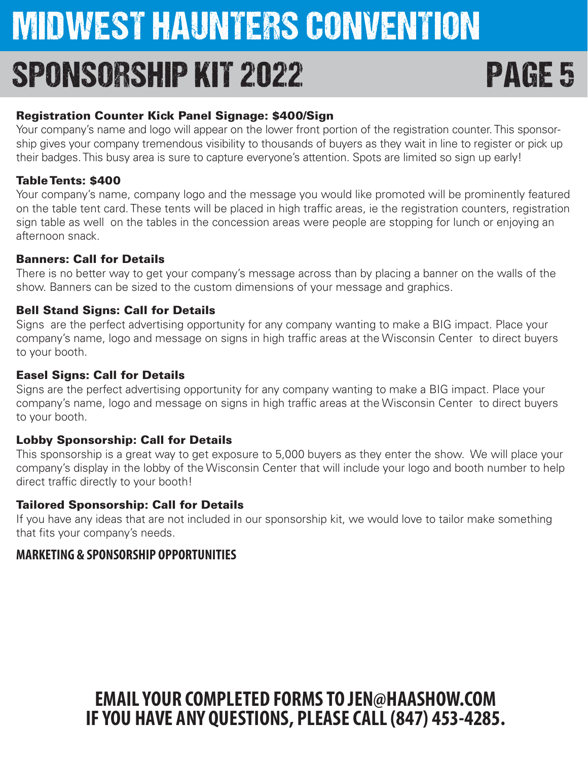## SPONSORSHIP KIT 2022 PAGE 5

#### Registration Counter Kick Panel Signage: \$400/Sign

Your company's name and logo will appear on the lower front portion of the registration counter. This sponsorship gives your company tremendous visibility to thousands of buyers as they wait in line to register or pick up their badges. This busy area is sure to capture everyone's attention. Spots are limited so sign up early!

#### Table Tents: \$400

Your company's name, company logo and the message you would like promoted will be prominently featured on the table tent card. These tents will be placed in high traffic areas, ie the registration counters, registration sign table as well on the tables in the concession areas were people are stopping for lunch or enjoying an afternoon snack.

#### Banners: Call for Details

There is no better way to get your company's message across than by placing a banner on the walls of the show. Banners can be sized to the custom dimensions of your message and graphics.

#### Bell Stand Signs: Call for Details

Signs are the perfect advertising opportunity for any company wanting to make a BIG impact. Place your company's name, logo and message on signs in high traffic areas at the Wisconsin Center to direct buyers to your booth.

#### Easel Signs: Call for Details

Signs are the perfect advertising opportunity for any company wanting to make a BIG impact. Place your company's name, logo and message on signs in high traffic areas at the Wisconsin Center to direct buyers to your booth.

#### Lobby Sponsorship: Call for Details

This sponsorship is a great way to get exposure to 5,000 buyers as they enter the show. We will place your company's display in the lobby of the Wisconsin Center that will include your logo and booth number to help direct traffic directly to your booth!

#### Tailored Sponsorship: Call for Details

If you have any ideas that are not included in our sponsorship kit, we would love to tailor make something that fits your company's needs.

### **MARKETING & SPONSORSHIP OPPORTUNITIES**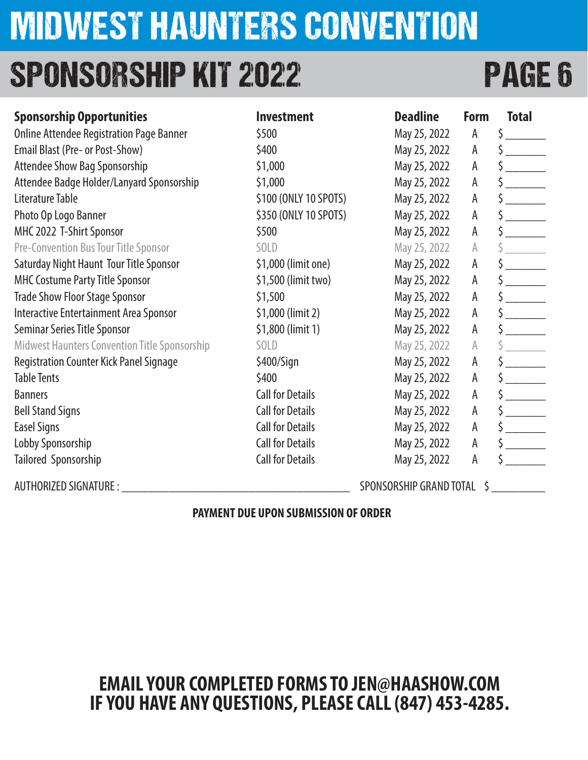## SPONSORSHIP KIT 2022 PAGE 6

| <b>Sponsorship Opportunities</b>                     | <b>Investment</b>       | <b>Deadline</b>         | Form | <b>Total</b>         |
|------------------------------------------------------|-------------------------|-------------------------|------|----------------------|
| <b>Online Attendee Registration Page Banner</b>      | \$500                   | May 25, 2022            | A    | \$                   |
| Email Blast (Pre- or Post-Show)                      | \$400                   | May 25, 2022            | A    |                      |
| Attendee Show Bag Sponsorship                        | \$1,000                 | May 25, 2022            | A    | $\frac{1}{2}$        |
| Attendee Badge Holder/Lanyard Sponsorship            | \$1,000                 | May 25, 2022            | А    | $\frac{1}{2}$        |
| Literature Table                                     | \$100 (ONLY 10 SPOTS)   | May 25, 2022            | A    | $\frac{1}{2}$        |
| Photo Op Logo Banner                                 | \$350 (ONLY 10 SPOTS)   | May 25, 2022            | A    | $\zeta$              |
| MHC 2022 T-Shirt Sponsor                             | \$500                   | May 25, 2022            | A    |                      |
| <b>Pre-Convention Bus Tour Title Sponsor</b>         | SOLD                    | May 25, 2022            | A    |                      |
| Saturday Night Haunt Tour Title Sponsor              | \$1,000 (limit one)     | May 25, 2022            | A    |                      |
| <b>MHC Costume Party Title Sponsor</b>               | \$1,500 (limit two)     | May 25, 2022            | A    | $\frac{1}{2}$        |
| <b>Trade Show Floor Stage Sponsor</b>                | \$1,500                 | May 25, 2022            | A    | $\frac{1}{2}$        |
| Interactive Entertainment Area Sponsor               | \$1,000 (limit 2)       | May 25, 2022            | A    |                      |
| <b>Seminar Series Title Sponsor</b>                  | \$1,800 (limit 1)       | May 25, 2022            | A    | $\frac{1}{2}$        |
| <b>Midwest Haunters Convention Title Sponsorship</b> | SOLD                    | May 25, 2022            | A    |                      |
| <b>Registration Counter Kick Panel Signage</b>       | $$400/S$ ign            | May 25, 2022            | А    | $\frac{1}{2}$        |
| <b>Table Tents</b>                                   | \$400                   | May 25, 2022            | А    | $\frac{1}{2}$        |
| <b>Banners</b>                                       | <b>Call for Details</b> | May 25, 2022            | A    | $\frac{1}{2}$        |
| <b>Bell Stand Signs</b>                              | <b>Call for Details</b> | May 25, 2022            | A    | $\frac{1}{\sqrt{2}}$ |
| <b>Easel Signs</b>                                   | <b>Call for Details</b> | May 25, 2022            | A    |                      |
| Lobby Sponsorship                                    | <b>Call for Details</b> | May 25, 2022            | A    | $\frac{1}{2}$        |
| Tailored Sponsorship                                 | <b>Call for Details</b> | May 25, 2022            | A    |                      |
| <b>AUTHORIZED SIGNATURE :</b>                        |                         | SPONSORSHIP GRAND TOTAL |      |                      |

#### **PAYMENT DUE UPON SUBMISSION OF ORDER**